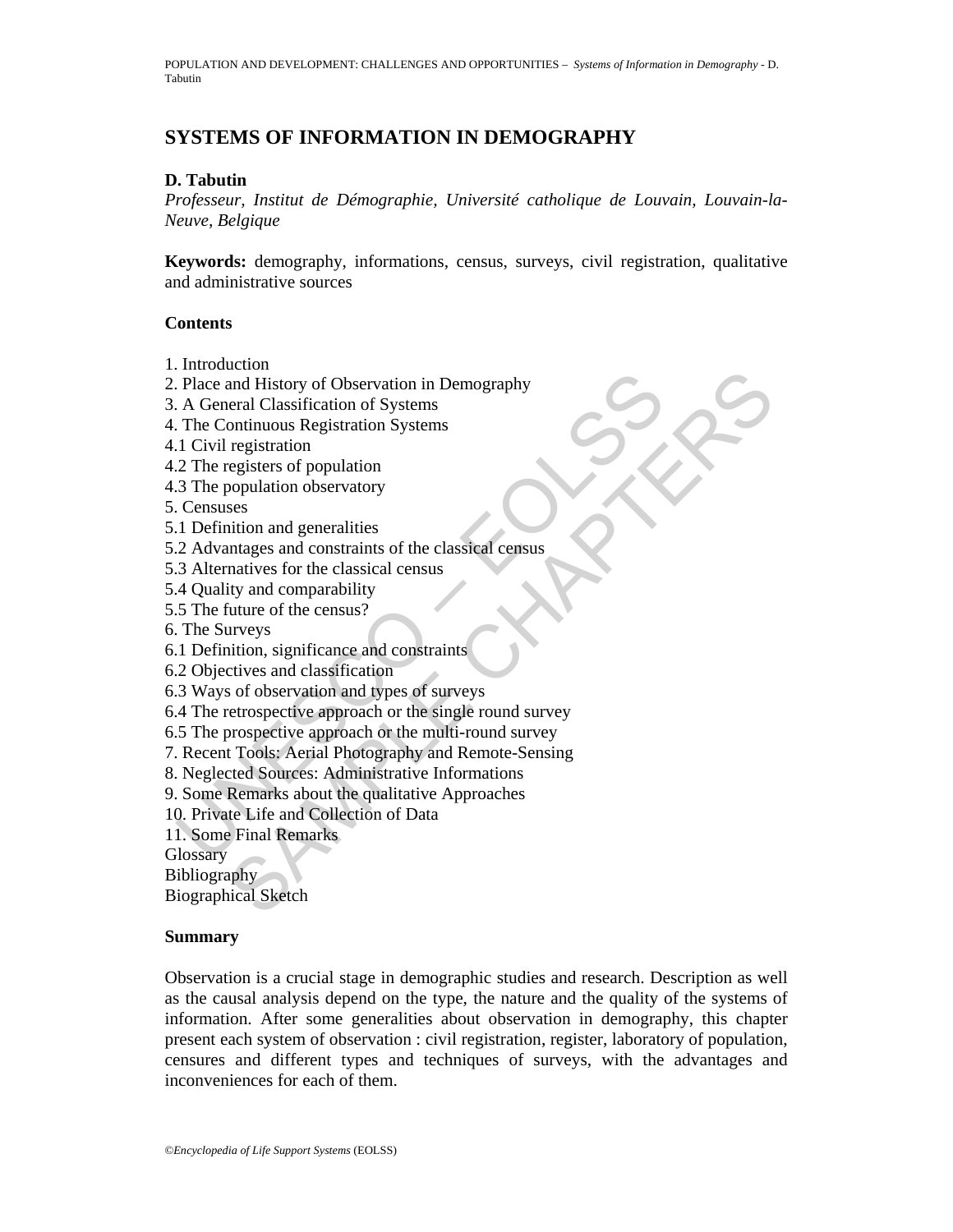# **SYSTEMS OF INFORMATION IN DEMOGRAPHY**

#### **D. Tabutin**

*Professeur, Institut de Démographie, Université catholique de Louvain, Louvain-la-Neuve, Belgique* 

**Keywords:** demography, informations, census, surveys, civil registration, qualitative and administrative sources

#### **Contents**

- 1. Introduction
- 2. Place and History of Observation in Demography
- 3. A General Classification of Systems
- 4. The Continuous Registration Systems
- 4.1 Civil registration
- 4.2 The registers of population
- 4.3 The population observatory
- 5. Censuses
- 5.1 Definition and generalities
- 5.2 Advantages and constraints of the classical census
- 5.3 Alternatives for the classical census
- 5.4 Quality and comparability
- 5.5 The future of the census?
- 6. The Surveys
- 6.1 Definition, significance and constraints
- 6.2 Objectives and classification
- 6.3 Ways of observation and types of surveys
- 6.4 The retrospective approach or the single round survey
- 6.5 The prospective approach or the multi-round survey
- File and History of Observation in Demography<br>
A General Classification of Systems<br>
The Continuous Registration Systems<br>
2 The registers of population<br>
1 Civil registers of population<br>
3 The population observatory<br>
2 Censu Example Internal Characterium in Demography<br>
and History of Observation in Demography<br>
registration of Systems<br>
registration Systems<br>
registers of population<br>
registers of population<br>
ses<br>
sition and generalities<br>
ses<br>
sit 7. Recent Tools: Aerial Photography and Remote-Sensing
- 8. Neglected Sources: Administrative Informations
- 9. Some Remarks about the qualitative Approaches
- 10. Private Life and Collection of Data
- 11. Some Final Remarks

**Glossary** 

Bibliography

Biographical Sketch

#### **Summary**

Observation is a crucial stage in demographic studies and research. Description as well as the causal analysis depend on the type, the nature and the quality of the systems of information. After some generalities about observation in demography, this chapter present each system of observation : civil registration, register, laboratory of population, censures and different types and techniques of surveys, with the advantages and inconveniences for each of them.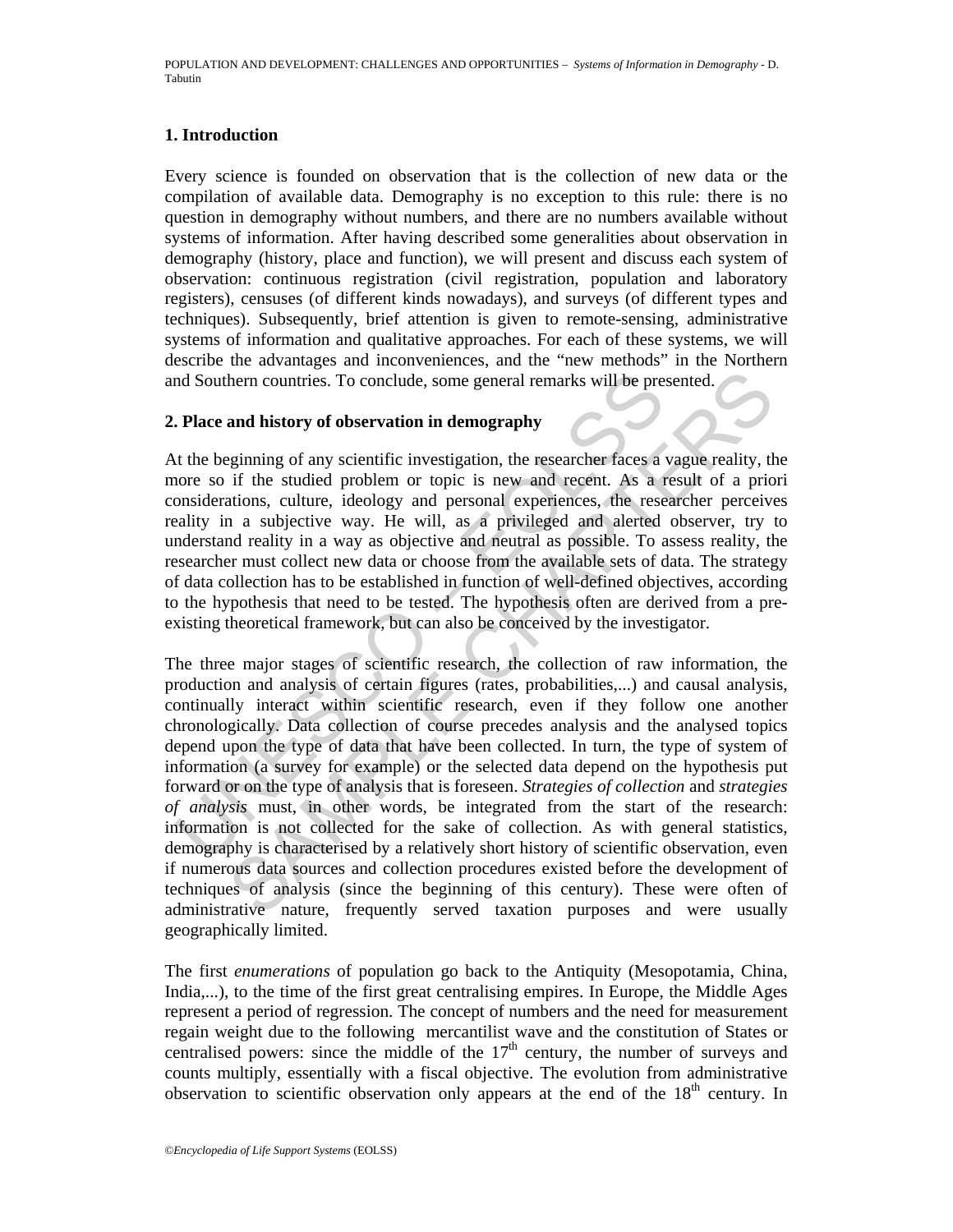#### **1. Introduction**

Every science is founded on observation that is the collection of new data or the compilation of available data. Demography is no exception to this rule: there is no question in demography without numbers, and there are no numbers available without systems of information. After having described some generalities about observation in demography (history, place and function), we will present and discuss each system of observation: continuous registration (civil registration, population and laboratory registers), censuses (of different kinds nowadays), and surveys (of different types and techniques). Subsequently, brief attention is given to remote-sensing, administrative systems of information and qualitative approaches. For each of these systems, we will describe the advantages and inconveniences, and the "new methods" in the Northern and Southern countries. To conclude, some general remarks will be presented.

#### **2. Place and history of observation in demography**

At the beginning of any scientific investigation, the researcher faces a vague reality, the more so if the studied problem or topic is new and recent. As a result of a priori considerations, culture, ideology and personal experiences, the researcher perceives reality in a subjective way. He will, as a privileged and alerted observer, try to understand reality in a way as objective and neutral as possible. To assess reality, the researcher must collect new data or choose from the available sets of data. The strategy of data collection has to be established in function of well-defined objectives, according to the hypothesis that need to be tested. The hypothesis often are derived from a preexisting theoretical framework, but can also be conceived by the investigator.

and Southern countries. To conclude, some general remarks will be pre-<br> **Place and history of observation in demography**<br>
t the beginning of any scientific investigation, the researcher faces a<br>
nore so if the studied prob hem countries. To conclude, some general remarks will be presented.<br> **and history of observation in demography**<br>
gginning of any scientific investigation, the researcher faces a vague reality, the<br>
if the studied problem o The three major stages of scientific research, the collection of raw information, the production and analysis of certain figures (rates, probabilities,...) and causal analysis, continually interact within scientific research, even if they follow one another chronologically. Data collection of course precedes analysis and the analysed topics depend upon the type of data that have been collected. In turn, the type of system of information (a survey for example) or the selected data depend on the hypothesis put forward or on the type of analysis that is foreseen. *Strategies of collection* and *strategies of analysis* must, in other words, be integrated from the start of the research: information is not collected for the sake of collection. As with general statistics, demography is characterised by a relatively short history of scientific observation, even if numerous data sources and collection procedures existed before the development of techniques of analysis (since the beginning of this century). These were often of administrative nature, frequently served taxation purposes and were usually geographically limited.

The first *enumerations* of population go back to the Antiquity (Mesopotamia, China, India,...), to the time of the first great centralising empires. In Europe, the Middle Ages represent a period of regression. The concept of numbers and the need for measurement regain weight due to the following mercantilist wave and the constitution of States or centralised powers: since the middle of the  $17<sup>th</sup>$  century, the number of surveys and counts multiply, essentially with a fiscal objective. The evolution from administrative observation to scientific observation only appears at the end of the  $18<sup>th</sup>$  century. In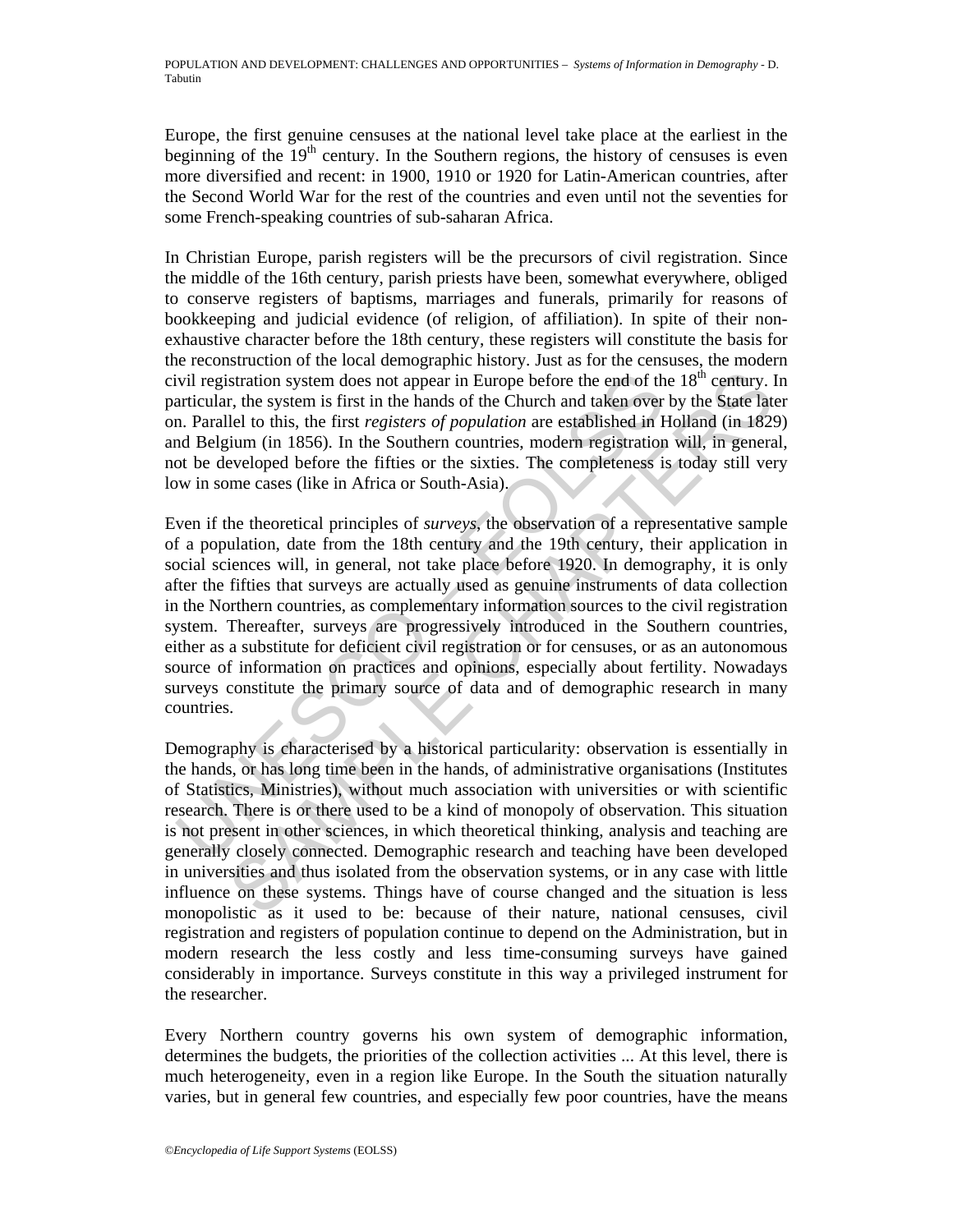Europe, the first genuine censuses at the national level take place at the earliest in the beginning of the  $19<sup>th</sup>$  century. In the Southern regions, the history of censuses is even more diversified and recent: in 1900, 1910 or 1920 for Latin-American countries, after the Second World War for the rest of the countries and even until not the seventies for some French-speaking countries of sub-saharan Africa.

In Christian Europe, parish registers will be the precursors of civil registration. Since the middle of the 16th century, parish priests have been, somewhat everywhere, obliged to conserve registers of baptisms, marriages and funerals, primarily for reasons of bookkeeping and judicial evidence (of religion, of affiliation). In spite of their nonexhaustive character before the 18th century, these registers will constitute the basis for the reconstruction of the local demographic history. Just as for the censuses, the modern civil registration system does not appear in Europe before the end of the  $18<sup>th</sup>$  century. In particular, the system is first in the hands of the Church and taken over by the State later on. Parallel to this, the first *registers of population* are established in Holland (in 1829) and Belgium (in 1856). In the Southern countries, modern registration will, in general, not be developed before the fifties or the sixties. The completeness is today still very low in some cases (like in Africa or South-Asia).

ivil registration system does not appear in Europe before the end of th<br>articular, the system is first in the hands of the Church and taken over<br>a. Parallel to this, the first registers of population are established in 1<br>a stration system does not appear in Europe before the end of the 18<sup>th</sup> century. It<br>stration system is first in the hands of the Church and taken over by the State Tate<br>Lel to this, the first registers of population are es Even if the theoretical principles of *surveys*, the observation of a representative sample of a population, date from the 18th century and the 19th century, their application in social sciences will, in general, not take place before 1920. In demography, it is only after the fifties that surveys are actually used as genuine instruments of data collection in the Northern countries, as complementary information sources to the civil registration system. Thereafter, surveys are progressively introduced in the Southern countries, either as a substitute for deficient civil registration or for censuses, or as an autonomous source of information on practices and opinions, especially about fertility. Nowadays surveys constitute the primary source of data and of demographic research in many countries.

Demography is characterised by a historical particularity: observation is essentially in the hands, or has long time been in the hands, of administrative organisations (Institutes of Statistics, Ministries), without much association with universities or with scientific research. There is or there used to be a kind of monopoly of observation. This situation is not present in other sciences, in which theoretical thinking, analysis and teaching are generally closely connected. Demographic research and teaching have been developed in universities and thus isolated from the observation systems, or in any case with little influence on these systems. Things have of course changed and the situation is less monopolistic as it used to be: because of their nature, national censuses, civil registration and registers of population continue to depend on the Administration, but in modern research the less costly and less time-consuming surveys have gained considerably in importance. Surveys constitute in this way a privileged instrument for the researcher.

Every Northern country governs his own system of demographic information, determines the budgets, the priorities of the collection activities ... At this level, there is much heterogeneity, even in a region like Europe. In the South the situation naturally varies, but in general few countries, and especially few poor countries, have the means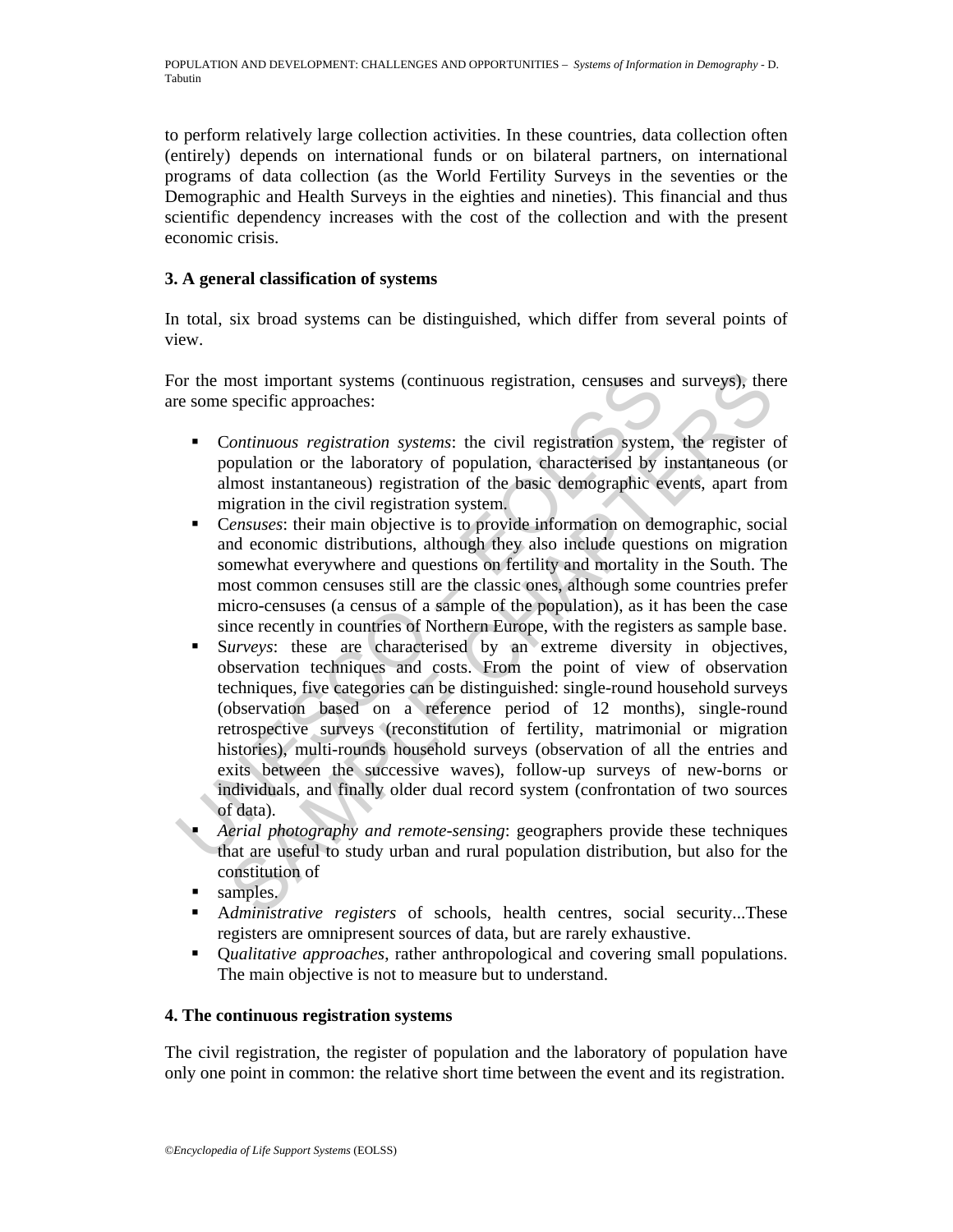to perform relatively large collection activities. In these countries, data collection often (entirely) depends on international funds or on bilateral partners, on international programs of data collection (as the World Fertility Surveys in the seventies or the Demographic and Health Surveys in the eighties and nineties). This financial and thus scientific dependency increases with the cost of the collection and with the present economic crisis.

### **3. A general classification of systems**

In total, six broad systems can be distinguished, which differ from several points of view.

For the most important systems (continuous registration, censuses and surveys), there are some specific approaches:

- C*ontinuous registration systems*: the civil registration system, the register of population or the laboratory of population, characterised by instantaneous (or almost instantaneous) registration of the basic demographic events, apart from migration in the civil registration system.
- C*ensuses*: their main objective is to provide information on demographic, social and economic distributions, although they also include questions on migration somewhat everywhere and questions on fertility and mortality in the South. The most common censuses still are the classic ones, although some countries prefer micro-censuses (a census of a sample of the population), as it has been the case since recently in countries of Northern Europe, with the registers as sample base.
- or the most important systems (continuous registration, censuses an<br>e some specific approaches:<br>
 Continuous registration systems: the civil registration system<br>
population or the laboratory of population, characterised most important systems (continuous registration, censuses and surveys), the<br>specific approaches:<br>Continuous registration systems: the civil registration system, the register<br>copulation or the laboratory of population, char S*urveys*: these are characterised by an extreme diversity in objectives, observation techniques and costs. From the point of view of observation techniques, five categories can be distinguished: single-round household surveys (observation based on a reference period of 12 months), single-round retrospective surveys (reconstitution of fertility, matrimonial or migration histories), multi-rounds household surveys (observation of all the entries and exits between the successive waves), follow-up surveys of new-borns or individuals, and finally older dual record system (confrontation of two sources of data).
	- *Aerial photography and remote-sensing*: geographers provide these techniques that are useful to study urban and rural population distribution, but also for the constitution of
	- samples.
	- A*dministrative registers* of schools, health centres, social security...These registers are omnipresent sources of data, but are rarely exhaustive.
	- Q*ualitative approaches*, rather anthropological and covering small populations. The main objective is not to measure but to understand.

### **4. The continuous registration systems**

The civil registration, the register of population and the laboratory of population have only one point in common: the relative short time between the event and its registration.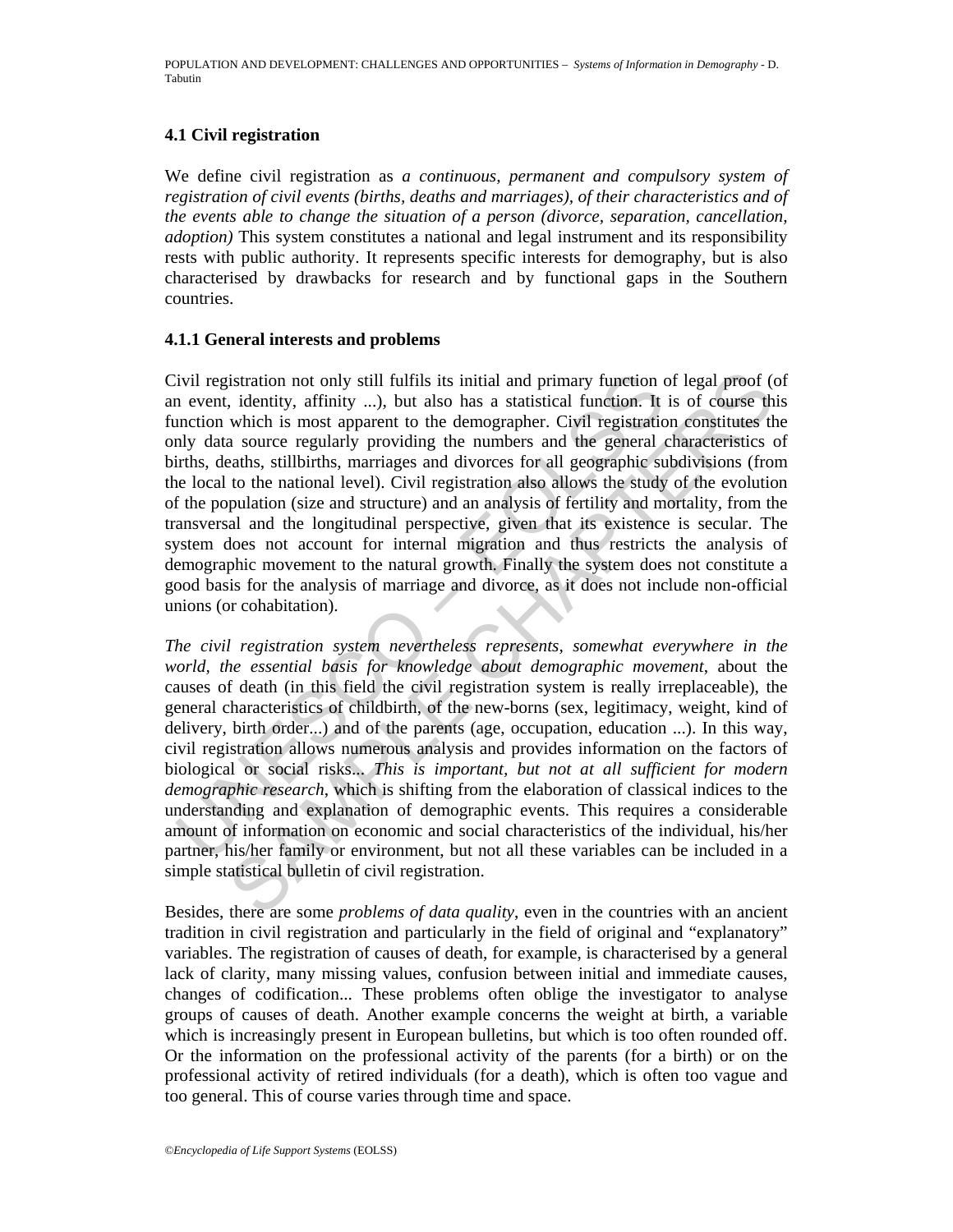## **4.1 Civil registration**

We define civil registration as *a continuous, permanent and compulsory system of registration of civil events (births, deaths and marriages), of their characteristics and of the events able to change the situation of a person (divorce, separation, cancellation, adoption)* This system constitutes a national and legal instrument and its responsibility rests with public authority. It represents specific interests for demography, but is also characterised by drawbacks for research and by functional gaps in the Southern countries.

#### **4.1.1 General interests and problems**

ivil registration not only still fulfils its initial and primary function on event, identity, affinity ...), but also has a statistical function. It into into the demographer. Civil registration which is most apparent to t istration not only still fulfils its initial and primary function of legal proof ( $\alpha$ , identity, affinity ....) but also has a stattstical function. It is of course the which is most apparent to the demographer. Civil re Civil registration not only still fulfils its initial and primary function of legal proof (of an event, identity, affinity ...), but also has a statistical function. It is of course this function which is most apparent to the demographer. Civil registration constitutes the only data source regularly providing the numbers and the general characteristics of births, deaths, stillbirths, marriages and divorces for all geographic subdivisions (from the local to the national level). Civil registration also allows the study of the evolution of the population (size and structure) and an analysis of fertility and mortality, from the transversal and the longitudinal perspective, given that its existence is secular. The system does not account for internal migration and thus restricts the analysis of demographic movement to the natural growth. Finally the system does not constitute a good basis for the analysis of marriage and divorce, as it does not include non-official unions (or cohabitation).

*The civil registration system nevertheless represents, somewhat everywhere in the world, the essential basis for knowledge about demographic movement*, about the causes of death (in this field the civil registration system is really irreplaceable), the general characteristics of childbirth, of the new-borns (sex, legitimacy, weight, kind of delivery, birth order...) and of the parents (age, occupation, education ...). In this way, civil registration allows numerous analysis and provides information on the factors of biological or social risks... *This is important, but not at all sufficient for modern demographic research*, which is shifting from the elaboration of classical indices to the understanding and explanation of demographic events. This requires a considerable amount of information on economic and social characteristics of the individual, his/her partner, his/her family or environment, but not all these variables can be included in a simple statistical bulletin of civil registration.

Besides, there are some *problems of data quality*, even in the countries with an ancient tradition in civil registration and particularly in the field of original and "explanatory" variables. The registration of causes of death, for example, is characterised by a general lack of clarity, many missing values, confusion between initial and immediate causes, changes of codification... These problems often oblige the investigator to analyse groups of causes of death. Another example concerns the weight at birth, a variable which is increasingly present in European bulletins, but which is too often rounded off. Or the information on the professional activity of the parents (for a birth) or on the professional activity of retired individuals (for a death), which is often too vague and too general. This of course varies through time and space.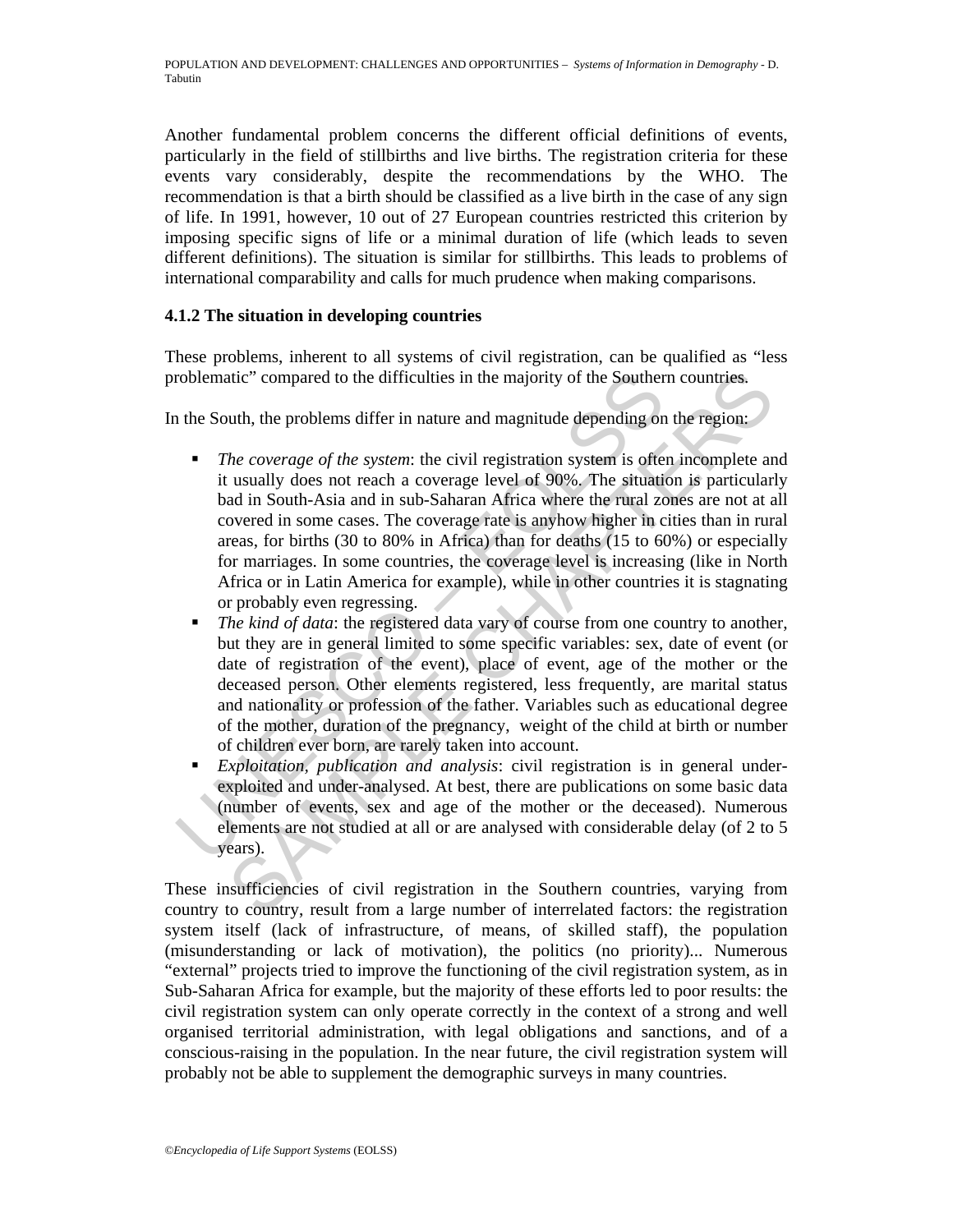Another fundamental problem concerns the different official definitions of events, particularly in the field of stillbirths and live births. The registration criteria for these events vary considerably, despite the recommendations by the WHO. The recommendation is that a birth should be classified as a live birth in the case of any sign of life. In 1991, however, 10 out of 27 European countries restricted this criterion by imposing specific signs of life or a minimal duration of life (which leads to seven different definitions). The situation is similar for stillbirths. This leads to problems of international comparability and calls for much prudence when making comparisons.

### **4.1.2 The situation in developing countries**

These problems, inherent to all systems of civil registration, can be qualified as "less problematic" compared to the difficulties in the majority of the Southern countries.

In the South, the problems differ in nature and magnitude depending on the region:

- roblematic" compared to the difficulties in the majority of the Souther<br>
1 the South, the problems differ in nature and magnitude depending on<br>
1 The coverage of the system: the civil registration system is ofter<br>
it usua tite" compared to the difficulties in the majority of the Southern countries.<br>
uth, the problems differ in nature and magnitude depending on the region:<br>
he coverage of the system: the civil registration system is often in *The coverage of the system*: the civil registration system is often incomplete and it usually does not reach a coverage level of 90%. The situation is particularly bad in South-Asia and in sub-Saharan Africa where the rural zones are not at all covered in some cases. The coverage rate is anyhow higher in cities than in rural areas, for births (30 to 80% in Africa) than for deaths (15 to 60%) or especially for marriages. In some countries, the coverage level is increasing (like in North Africa or in Latin America for example), while in other countries it is stagnating or probably even regressing.
	- *The kind of data*: the registered data vary of course from one country to another, but they are in general limited to some specific variables: sex, date of event (or date of registration of the event), place of event, age of the mother or the deceased person. Other elements registered, less frequently, are marital status and nationality or profession of the father. Variables such as educational degree of the mother, duration of the pregnancy, weight of the child at birth or number of children ever born, are rarely taken into account.
	- *Exploitation, publication and analysis*: civil registration is in general underexploited and under-analysed. At best, there are publications on some basic data (number of events, sex and age of the mother or the deceased). Numerous elements are not studied at all or are analysed with considerable delay (of 2 to 5 years).

These insufficiencies of civil registration in the Southern countries, varying from country to country, result from a large number of interrelated factors: the registration system itself (lack of infrastructure, of means, of skilled staff), the population (misunderstanding or lack of motivation), the politics (no priority)... Numerous "external" projects tried to improve the functioning of the civil registration system, as in Sub-Saharan Africa for example, but the majority of these efforts led to poor results: the civil registration system can only operate correctly in the context of a strong and well organised territorial administration, with legal obligations and sanctions, and of a conscious-raising in the population. In the near future, the civil registration system will probably not be able to supplement the demographic surveys in many countries.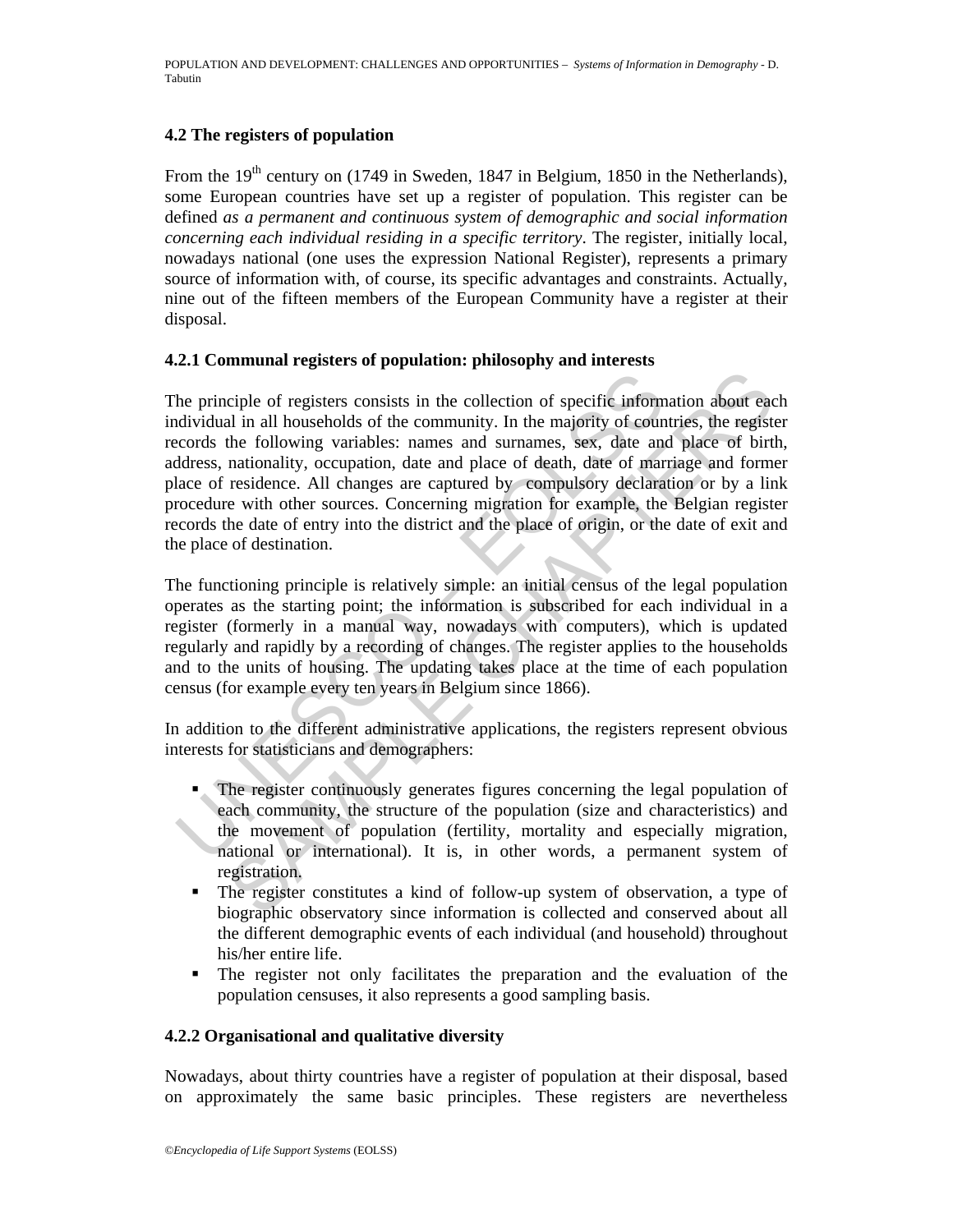#### **4.2 The registers of population**

From the 19<sup>th</sup> century on (1749 in Sweden, 1847 in Belgium, 1850 in the Netherlands), some European countries have set up a register of population. This register can be defined *as a permanent and continuous system of demographic and social information concerning each individual residing in a specific territory*. The register, initially local, nowadays national (one uses the expression National Register), represents a primary source of information with, of course, its specific advantages and constraints. Actually, nine out of the fifteen members of the European Community have a register at their disposal.

#### **4.2.1 Communal registers of population: philosophy and interests**

The principle of registers consists in the collection of specific informational in all households of the community. In the majority of cours<br>coords the following variables: names and surnames, sex, date and<br>ddress, nationa ciple of registers consists in the collection of specific information about each<br>al in all households of the community. In the majority of countries, the regist<br>the following variables: names and surnames, sex, date and pl The principle of registers consists in the collection of specific information about each individual in all households of the community. In the majority of countries, the register records the following variables: names and surnames, sex, date and place of birth, address, nationality, occupation, date and place of death, date of marriage and former place of residence. All changes are captured by compulsory declaration or by a link procedure with other sources. Concerning migration for example, the Belgian register records the date of entry into the district and the place of origin, or the date of exit and the place of destination.

The functioning principle is relatively simple: an initial census of the legal population operates as the starting point; the information is subscribed for each individual in a register (formerly in a manual way, nowadays with computers), which is updated regularly and rapidly by a recording of changes. The register applies to the households and to the units of housing. The updating takes place at the time of each population census (for example every ten years in Belgium since 1866).

In addition to the different administrative applications, the registers represent obvious interests for statisticians and demographers:

- The register continuously generates figures concerning the legal population of each community, the structure of the population (size and characteristics) and the movement of population (fertility, mortality and especially migration, national or international). It is, in other words, a permanent system of registration.
- The register constitutes a kind of follow-up system of observation, a type of biographic observatory since information is collected and conserved about all the different demographic events of each individual (and household) throughout his/her entire life.
- The register not only facilitates the preparation and the evaluation of the population censuses, it also represents a good sampling basis.

### **4.2.2 Organisational and qualitative diversity**

Nowadays, about thirty countries have a register of population at their disposal, based on approximately the same basic principles. These registers are nevertheless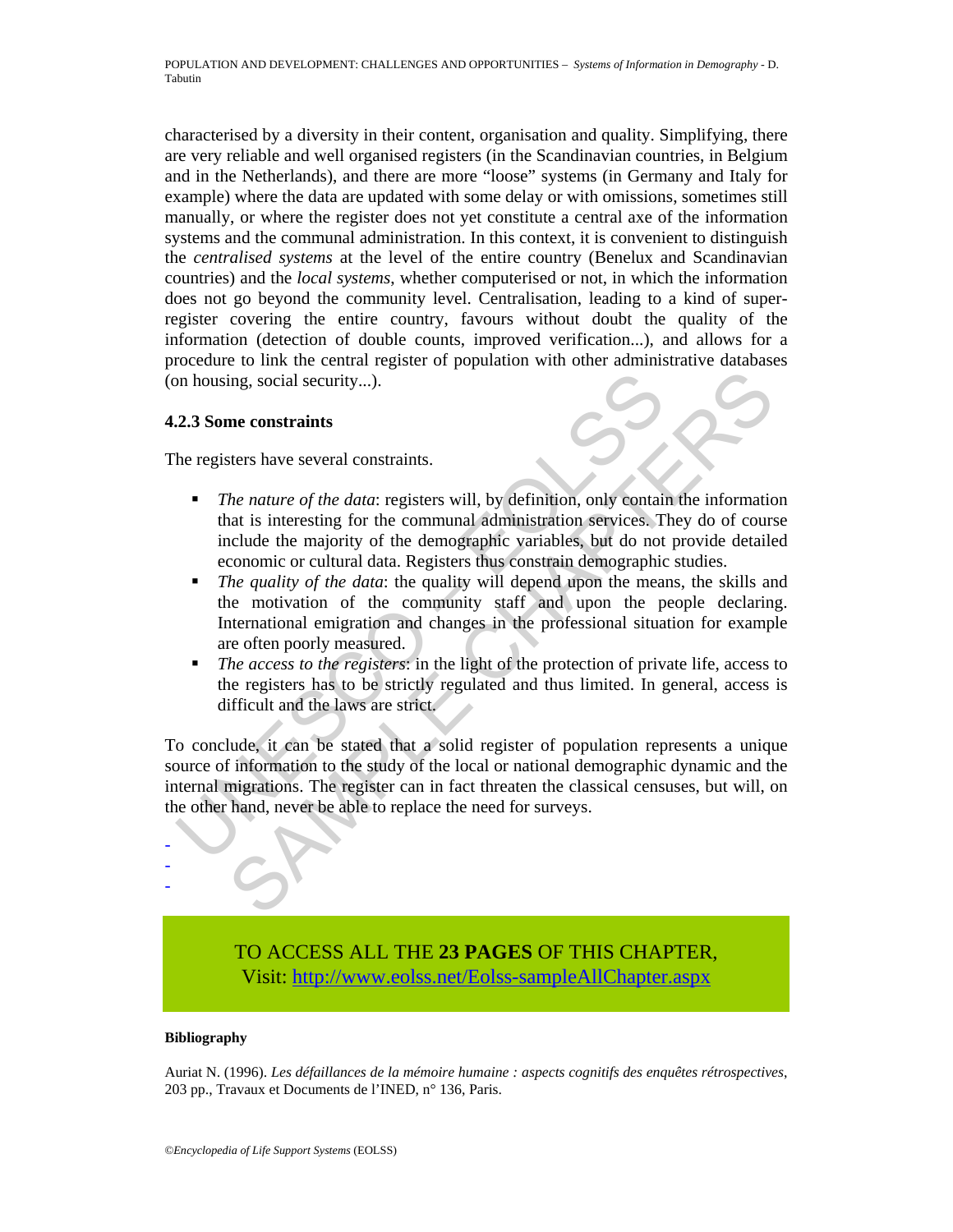characterised by a diversity in their content, organisation and quality. Simplifying, there are very reliable and well organised registers (in the Scandinavian countries, in Belgium and in the Netherlands), and there are more "loose" systems (in Germany and Italy for example) where the data are updated with some delay or with omissions, sometimes still manually, or where the register does not yet constitute a central axe of the information systems and the communal administration. In this context, it is convenient to distinguish the *centralised systems* at the level of the entire country (Benelux and Scandinavian countries) and the *local systems*, whether computerised or not, in which the information does not go beyond the community level. Centralisation, leading to a kind of superregister covering the entire country, favours without doubt the quality of the information (detection of double counts, improved verification...), and allows for a procedure to link the central register of population with other administrative databases (on housing, social security...).

#### **4.2.3 Some constraints**

The registers have several constraints.

- *The nature of the data*: registers will, by definition, only contain the information that is interesting for the communal administration services. They do of course include the majority of the demographic variables, but do not provide detailed economic or cultural data. Registers thus constrain demographic studies.
- *The quality of the data*: the quality will depend upon the means, the skills and the motivation of the community staff and upon the people declaring. International emigration and changes in the professional situation for example are often poorly measured.
- *The access to the registers*: in the light of the protection of private life, access to the registers has to be strictly regulated and thus limited. In general, access is difficult and the laws are strict.

**Example 12.1 Solution** and the state of the data: the state of the computer of the data: tegisters will, by definition, only contained that is interesting for the communal administration services. The include the major ing, social security...).<br>
The constraints<br>
the nature of the data: registers will, by definition, only contain the information<br>
that is interesting for the communal administration services. They do of cours<br>
chapted the m To conclude, it can be stated that a solid register of population represents a unique source of information to the study of the local or national demographic dynamic and the internal migrations. The register can in fact threaten the classical censuses, but will, on the other hand, never be able to replace the need for surveys.



#### **Bibliography**

- - -

Auriat N. (1996). *Les défaillances de la mémoire humaine : aspects cognitifs des enquêtes rétrospectives*, 203 pp., Travaux et Documents de l'INED, n° 136, Paris.